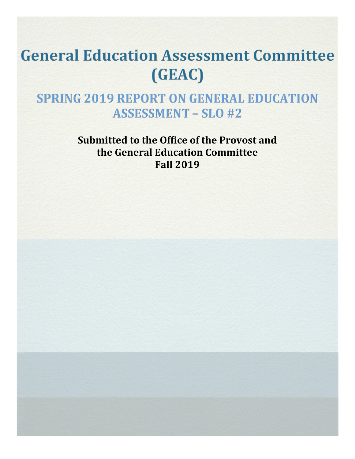# **General Education Assessment Committee** (GEAC)

**SPRING 2019 REPORT ON GENERAL EDUCATION ASSESSMENT - SLO #2** 

> **Submitted to the Office of the Provost and the General Education Committee Fall 2019**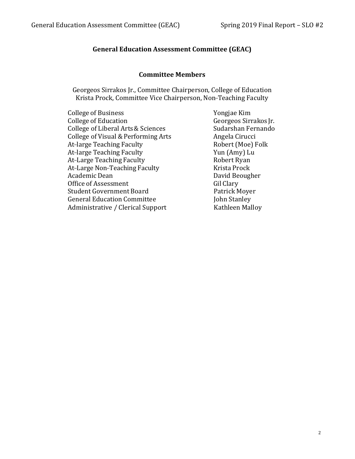# **General Education Assessment Committee (GEAC)**

#### **Committee Members**

Georgeos Sirrakos Jr., Committee Chairperson, College of Education Krista Prock, Committee Vice Chairperson, Non-Teaching Faculty

| <b>College of Business</b>          |
|-------------------------------------|
| <b>College of Education</b>         |
| College of Liberal Arts & Sciences  |
| College of Visual & Performing Arts |
| At-large Teaching Faculty           |
| At-large Teaching Faculty           |
| At-Large Teaching Faculty           |
| At-Large Non-Teaching Faculty       |
| Academic Dean                       |
| Office of Assessment                |
| <b>Student Government Board</b>     |
| <b>General Education Committee</b>  |
| Administrative / Clerical Support   |
|                                     |

Yongjae Kim Georgeos Sirrakos Jr. Sudarshan Fernando Angela Cirucci Robert (Moe) Folk Yun (Amy) Lu Robert Ryan Krista Prock David Beougher Gil Clary Patrick Moyer John Stanley Kathleen Malloy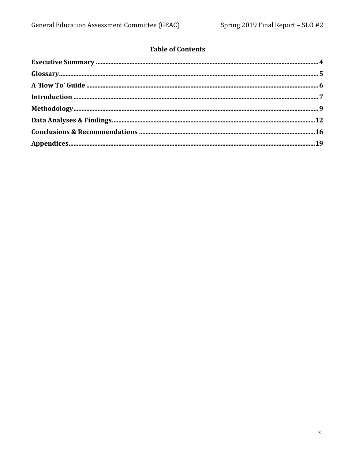# **Table of Contents**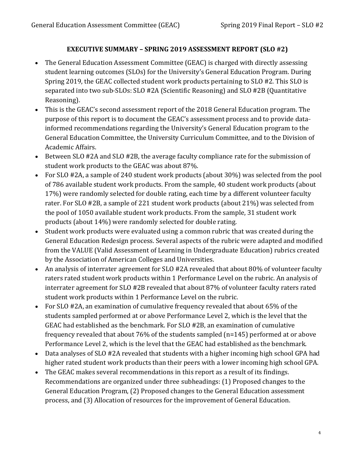# **EXECUTIVE SUMMARY – SPRING 2019 ASSESSMENT REPORT (SLO #2)**

- The General Education Assessment Committee (GEAC) is charged with directly assessing student learning outcomes (SLOs) for the University's General Education Program. During Spring 2019, the GEAC collected student work products pertaining to SLO #2. This SLO is separated into two sub-SLOs: SLO #2A (Scientific Reasoning) and SLO #2B (Quantitative Reasoning).
- This is the GEAC's second assessment report of the 2018 General Education program. The purpose of this report is to document the GEAC's assessment process and to provide data-informed recommendations regarding the University's General Education program to the General Education Committee, the University Curriculum Committee, and to the Division of Academic Affairs.
- Between SLO #2A and SLO #2B, the average faculty compliance rate for the submission of student work products to the GEAC was about 87%.
- For SLO #2A, a sample of 240 student work products (about 30%) was selected from the pool of 786 available student work products. From the sample, 40 student work products (about 17%) were randomly selected for double rating, each time by a different volunteer faculty rater. For SLO #2B, a sample of 221 student work products (about 21%) was selected from the pool of 1050 available student work products. From the sample, 31 student work products (about 14%) were randomly selected for double rating.
- Student work products were evaluated using a common rubric that was created during the General Education Redesign process. Several aspects of the rubric were adapted and modified from the VALUE (Valid Assessment of Learning in Undergraduate Education) rubrics created by the Association of American Colleges and Universities.
- An analysis of interrater agreement for SLO #2A revealed that about 80% of volunteer faculty raters rated student work products within 1 Performance Level on the rubric. An analysis of interrater agreement for SLO #2B revealed that about 87% of volunteer faculty raters rated student work products within 1 Performance Level on the rubric.
- For SLO #2A, an examination of cumulative frequency revealed that about 65% of the students sampled performed at or above Performance Level 2, which is the level that the GEAC had established as the benchmark. For SLO #2B, an examination of cumulative frequency revealed that about 76% of the students sampled (n=145) performed at or above Performance Level 2, which is the level that the GEAC had established as the benchmark.
- Data analyses of SLO #2A revealed that students with a higher incoming high school GPA had higher rated student work products than their peers with a lower incoming high school GPA.
- The GEAC makes several recommendations in this report as a result of its findings. Recommendations are organized under three subheadings: (1) Proposed changes to the General Education Program, (2) Proposed changes to the General Education assessment process, and (3) Allocation of resources for the improvement of General Education.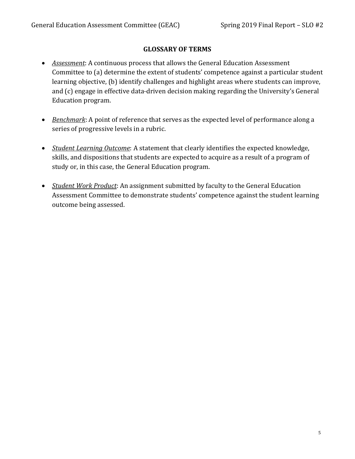# **GLOSSARY OF TERMS**

- *Assessment*: A continuous process that allows the General Education Assessment Committee to (a) determine the extent of students' competence against a particular student learning objective, (b) identify challenges and highlight areas where students can improve, and (c) engage in effective data-driven decision making regarding the University's General Education program.
- *Benchmark*: A point of reference that serves as the expected level of performance along a series of progressive levels in a rubric.
- *Student Learning Outcome*: A statement that clearly identifies the expected knowledge, skills, and dispositions that students are expected to acquire as a result of a program of study or, in this case, the General Education program.
- *Student Work Product*: An assignment submitted by faculty to the General Education Assessment Committee to demonstrate students' competence against the student learning outcome being assessed.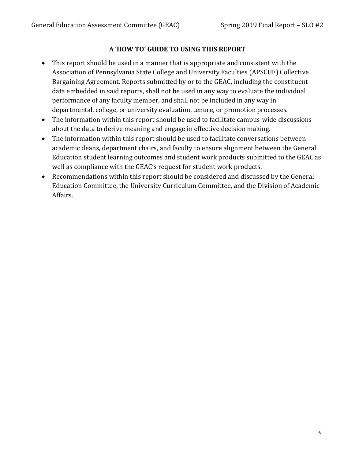# **A 'HOW TO' GUIDE TO USING THIS REPORT**

- This report should be used in a manner that is appropriate and consistent with the Association of Pennsylvania State College and University Faculties (APSCUF) Collective Bargaining Agreement. Reports submitted by or to the GEAC, including the constituent data embedded in said reports, shall not be used in any way to evaluate the individual performance of any faculty member, and shall not be included in any way in departmental, college, or university evaluation, tenure, or promotion processes.
- The information within this report should be used to facilitate campus-wide discussions about the data to derive meaning and engage in effective decision making.
- The information within this report should be used to facilitate conversations between academic deans, department chairs, and faculty to ensure alignment between the General Education student learning outcomes and student work products submitted to the GEAC as well as compliance with the GEAC's request for student work products.
- Recommendations within this report should be considered and discussed by the General Education Committee, the University Curriculum Committee, and the Division of Academic Affairs.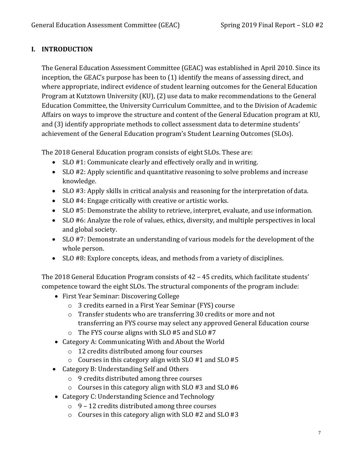# **I. INTRODUCTION**

The General Education Assessment Committee (GEAC) was established in April 2010. Since its inception, the GEAC's purpose has been to (1) identify the means of assessing direct, and where appropriate, indirect evidence of student learning outcomes for the General Education Program at Kutztown University (KU), (2) use data to make recommendations to the General Education Committee, the University Curriculum Committee, and to the Division of Academic Affairs on ways to improve the structure and content of the General Education program at KU, and (3) identify appropriate methods to collect assessment data to determine students' achievement of the General Education program's Student Learning Outcomes (SLOs).

The 2018 General Education program consists of eight SLOs. These are:

- SLO #1: Communicate clearly and effectively orally and in writing.
- SLO #2: Apply scientific and quantitative reasoning to solve problems and increase knowledge.
- SLO #3: Apply skills in critical analysis and reasoning for the interpretation of data.
- SLO #4: Engage critically with creative or artistic works.
- SLO #5: Demonstrate the ability to retrieve, interpret, evaluate, and use information.
- SLO #6: Analyze the role of values, ethics, diversity, and multiple perspectives in local and global society.
- SLO #7: Demonstrate an understanding of various models for the development of the whole person.
- SLO #8: Explore concepts, ideas, and methods from a variety of disciplines.

The 2018 General Education Program consists of 42 – 45 credits, which facilitate students' competence toward the eight SLOs. The structural components of the program include:

- First Year Seminar: Discovering College
	- o 3 credits earned in a First Year Seminar (FYS) course
	- o Transfer students who are transferring 30 credits or more and not transferring an FYS course may select any approved General Education course
	- o The FYS course aligns with SLO #5 and SLO #7
- Category A: Communicating With and About the World
	- o 12 credits distributed among four courses
	- $\circ$  Courses in this category align with SLO #1 and SLO #5
- Category B: Understanding Self and Others
	- o 9 credits distributed among three courses
	- o Courses in this category align with SLO #3 and SLO #6
- Category C: Understanding Science and Technology
	- o 9 12 credits distributed among three courses
	- o Courses in this category align with SLO #2 and SLO #3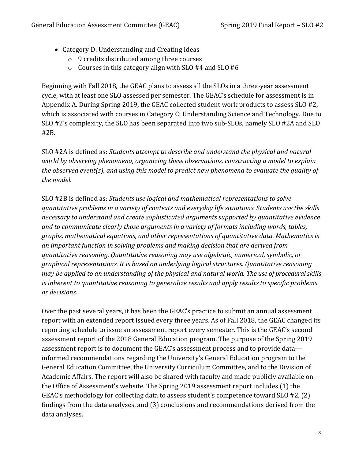- Category D: Understanding and Creating Ideas
	- o 9 credits distributed among three courses
	- o Courses in this category align with SLO #4 and SLO #6

Beginning with Fall 2018, the GEAC plans to assess all the SLOs in a three-year assessment cycle, with at least one SLO assessed per semester. The GEAC's schedule for assessment is in Appendix A. During Spring 2019, the GEAC collected student work products to assess SLO #2, which is associated with courses in Category C: Understanding Science and Technology. Due to SLO #2's complexity, the SLO has been separated into two sub-SLOs, namely SLO #2A and SLO #2B.

SLO #2A is defined as: *Students attempt to describe and understand the physical and natural world by observing phenomena, organizing these observations, constructing a model to explain the observed event(s), and using this model to predict new phenomena to evaluate the quality of the model.*

SLO #2B is defined as: *Students use logical and mathematical representations to solve quantitative problems in a variety of contexts and everyday life situations. Students use the skills necessary to understand and create sophisticated arguments supported by quantitative evidence and to communicate clearly those arguments in a variety of formats including words, tables, graphs, mathematical equations, and other representations of quantitative data. Mathematics is an important function in solving problems and making decision that are derived from quantitative reasoning. Quantitative reasoning may use algebraic, numerical, symbolic, or graphical representations. It is based on underlying logical structures. Quantitative reasoning may be applied to an understanding of the physical and natural world. The use of procedural skills is inherent to quantitative reasoning to generalize results and apply results to specific problems or decisions.*

Over the past several years, it has been the GEAC's practice to submit an annual assessment report with an extended report issued every three years. As of Fall 2018, the GEAC changed its reporting schedule to issue an assessment report every semester. This is the GEAC's second assessment report of the 2018 General Education program. The purpose of the Spring 2019 assessment report is to document the GEAC's assessment process and to provide data informed recommendations regarding the University's General Education program to the General Education Committee, the University Curriculum Committee, and to the Division of Academic Affairs. The report will also be shared with faculty and made publicly available on the Office of Assessment's website. The Spring 2019 assessment report includes (1) the GEAC's methodology for collecting data to assess student's competence toward SLO #2, (2) findings from the data analyses, and (3) conclusions and recommendations derived from the data analyses.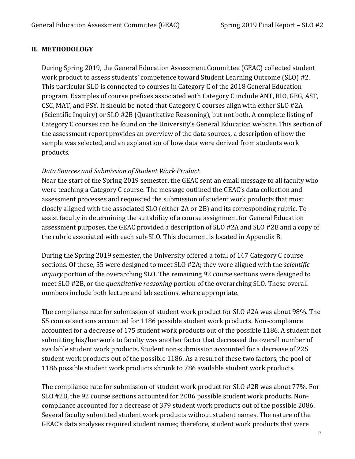#### **II. METHODOLOGY**

During Spring 2019, the General Education Assessment Committee (GEAC) collected student work product to assess students' competence toward Student Learning Outcome (SLO) #2. This particular SLO is connected to courses in Category C of the 2018 General Education program. Examples of course prefixes associated with Category C include ANT, BIO, GEG, AST, CSC, MAT, and PSY. It should be noted that Category C courses align with either SLO #2A (Scientific Inquiry) or SLO #2B (Quantitative Reasoning), but not both. A complete listing of Category C courses can be found on the University's General Education website. This section of the assessment report provides an overview of the data sources, a description of how the sample was selected, and an explanation of how data were derived from students work products.

#### *Data Sources and Submission of Student Work Product*

Near the start of the Spring 2019 semester, the GEAC sent an email message to all faculty who were teaching a Category C course. The message outlined the GEAC's data collection and assessment processes and requested the submission of student work products that most closely aligned with the associated SLO (either 2A or 2B) and its corresponding rubric. To assist faculty in determining the suitability of a course assignment for General Education assessment purposes, the GEAC provided a description of SLO #2A and SLO #2B and a copy of the rubric associated with each sub-SLO. This document is located in Appendix B.

During the Spring 2019 semester, the University offered a total of 147 Category C course sections. Of these, 55 were designed to meet SLO #2A; they were aligned with the *scientific inquiry* portion of the overarching SLO. The remaining 92 course sections were designed to meet SLO #2B, or the *quantitative reasoning* portion of the overarching SLO. These overall numbers include both lecture and lab sections, where appropriate.

The compliance rate for submission of student work product for SLO #2A was about 98%. The 55 course sections accounted for 1186 possible student work products. Non-compliance accounted for a decrease of 175 student work products out of the possible 1186. A student not submitting his/her work to faculty was another factor that decreased the overall number of available student work products. Student non-submission accounted for a decrease of 225 student work products out of the possible 1186. As a result of these two factors, the pool of 1186 possible student work products shrunk to 786 available student work products.

The compliance rate for submission of student work product for SLO #2B was about 77%. For SLO #2B, the 92 course sections accounted for 2086 possible student work products. Non-compliance accounted for a decrease of 379 student work products out of the possible 2086. Several faculty submitted student work products without student names. The nature of the GEAC's data analyses required student names; therefore, student work products that were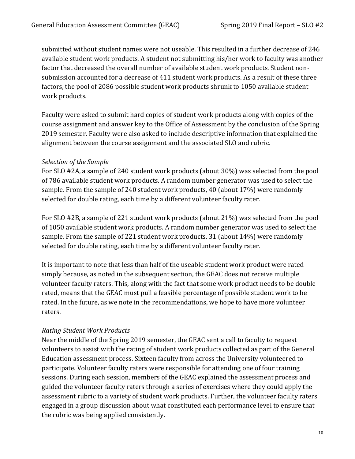submitted without student names were not useable. This resulted in a further decrease of 246 available student work products. A student not submitting his/her work to faculty was another factor that decreased the overall number of available student work products. Student nonsubmission accounted for a decrease of 411 student work products. As a result of these three factors, the pool of 2086 possible student work products shrunk to 1050 available student work products.

Faculty were asked to submit hard copies of student work products along with copies of the course assignment and answer key to the Office of Assessment by the conclusion of the Spring 2019 semester. Faculty were also asked to include descriptive information that explained the alignment between the course assignment and the associated SLO and rubric.

#### *Selection of the Sample*

For SLO #2A, a sample of 240 student work products (about 30%) was selected from the pool of 786 available student work products. A random number generator was used to select the sample. From the sample of 240 student work products, 40 (about 17%) were randomly selected for double rating, each time by a different volunteer faculty rater.

For SLO #2B, a sample of 221 student work products (about 21%) was selected from the pool of 1050 available student work products. A random number generator was used to select the sample. From the sample of 221 student work products, 31 (about 14%) were randomly selected for double rating, each time by a different volunteer faculty rater.

It is important to note that less than half of the useable student work product were rated simply because, as noted in the subsequent section, the GEAC does not receive multiple volunteer faculty raters. This, along with the fact that some work product needs to be double rated, means that the GEAC must pull a feasible percentage of possible student work to be rated. In the future, as we note in the recommendations, we hope to have more volunteer raters.

#### *Rating Student Work Products*

Near the middle of the Spring 2019 semester, the GEAC sent a call to faculty to request volunteers to assist with the rating of student work products collected as part of the General Education assessment process. Sixteen faculty from across the University volunteered to participate. Volunteer faculty raters were responsible for attending one of four training sessions. During each session, members of the GEAC explained the assessment process and guided the volunteer faculty raters through a series of exercises where they could apply the assessment rubric to a variety of student work products. Further, the volunteer faculty raters engaged in a group discussion about what constituted each performance level to ensure that the rubric was being applied consistently.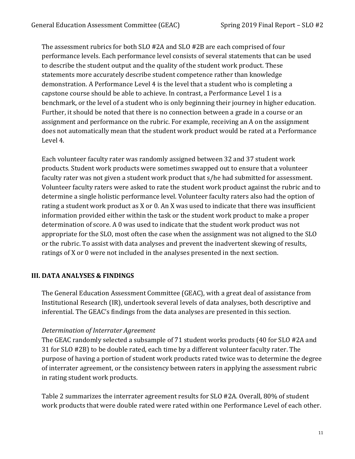The assessment rubrics for both SLO #2A and SLO #2B are each comprised of four performance levels. Each performance level consists of several statements that can be used to describe the student output and the quality of the student work product. These statements more accurately describe student competence rather than knowledge demonstration. A Performance Level 4 is the level that a student who is completing a capstone course should be able to achieve. In contrast, a Performance Level 1 is a benchmark, or the level of a student who is only beginning their journey in higher education. Further, it should be noted that there is no connection between a grade in a course or an assignment and performance on the rubric. For example, receiving an A on the assignment does not automatically mean that the student work product would be rated at a Performance Level 4.

Each volunteer faculty rater was randomly assigned between 32 and 37 student work products. Student work products were sometimes swapped out to ensure that a volunteer faculty rater was not given a student work product that s/he had submitted for assessment. Volunteer faculty raters were asked to rate the student work product against the rubric and to determine a single holistic performance level. Volunteer faculty raters also had the option of rating a student work product as X or 0. An X was used to indicate that there was insufficient information provided either within the task or the student work product to make a proper determination of score. A 0 was used to indicate that the student work product was not appropriate for the SLO, most often the case when the assignment was not aligned to the SLO or the rubric. To assist with data analyses and prevent the inadvertent skewing of results, ratings of X or 0 were not included in the analyses presented in the next section.

#### **III. DATA ANALYSES & FINDINGS**

The General Education Assessment Committee (GEAC), with a great deal of assistance from Institutional Research (IR), undertook several levels of data analyses, both descriptive and inferential. The GEAC's findings from the data analyses are presented in this section.

#### *Determination of Interrater Agreement*

The GEAC randomly selected a subsample of 71 student works products (40 for SLO #2A and 31 for SLO #2B) to be double rated, each time by a different volunteer faculty rater. The purpose of having a portion of student work products rated twice was to determine the degree of interrater agreement, or the consistency between raters in applying the assessment rubric in rating student work products.

Table 2 summarizes the interrater agreement results for SLO #2A. Overall, 80% of student work products that were double rated were rated within one Performance Level of each other.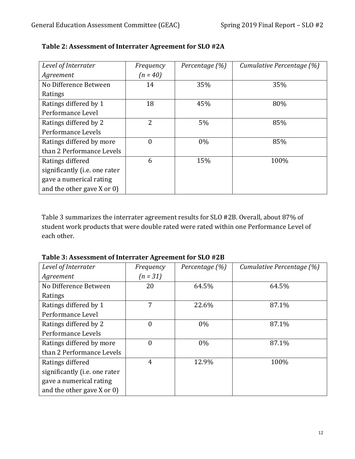| Level of Interrater             | Frequency      | Percentage (%) | Cumulative Percentage (%) |
|---------------------------------|----------------|----------------|---------------------------|
| Agreement                       | $(n = 40)$     |                |                           |
| No Difference Between           | 14             | 35%            | 35%                       |
| Ratings                         |                |                |                           |
| Ratings differed by 1           | 18             | 45%            | 80%                       |
| Performance Level               |                |                |                           |
| Ratings differed by 2           | 2              | 5%             | 85%                       |
| Performance Levels              |                |                |                           |
| Ratings differed by more        | $\overline{0}$ | $0\%$          | 85%                       |
| than 2 Performance Levels       |                |                |                           |
| Ratings differed                | 6              | 15%            | 100%                      |
| significantly (i.e. one rater   |                |                |                           |
| gave a numerical rating         |                |                |                           |
| and the other gave $X$ or $0$ ) |                |                |                           |

| Table 2: Assessment of Interrater Agreement for SLO #2A |  |  |
|---------------------------------------------------------|--|--|
|                                                         |  |  |

Table 3 summarizes the interrater agreement results for SLO #2B. Overall, about 87% of student work products that were double rated were rated within one Performance Level of each other.

**Table 3: Assessment of Interrater Agreement for SLO #2B**

| Level of Interrater           | Frequency      | Percentage (%) | Cumulative Percentage (%) |
|-------------------------------|----------------|----------------|---------------------------|
| Agreement                     | $(n = 31)$     |                |                           |
| No Difference Between         | 20             | 64.5%          | 64.5%                     |
| Ratings                       |                |                |                           |
| Ratings differed by 1         | 7              | 22.6%          | 87.1%                     |
| Performance Level             |                |                |                           |
| Ratings differed by 2         | $\theta$       | $0\%$          | 87.1%                     |
| Performance Levels            |                |                |                           |
| Ratings differed by more      | $\theta$       | $0\%$          | 87.1%                     |
| than 2 Performance Levels     |                |                |                           |
| Ratings differed              | $\overline{4}$ | 12.9%          | 100%                      |
| significantly (i.e. one rater |                |                |                           |
| gave a numerical rating       |                |                |                           |
| and the other gave $X$ or 0)  |                |                |                           |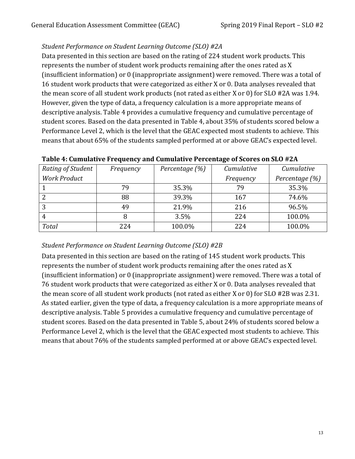# *Student Performance on Student Learning Outcome (SLO) #2A*

Data presented in this section are based on the rating of 224 student work products. This represents the number of student work products remaining after the ones rated as X (insufficient information) or 0 (inappropriate assignment) were removed. There was a total of 16 student work products that were categorized as either X or 0. Data analyses revealed that the mean score of all student work products (not rated as either X or 0) for SLO #2A was 1.94. However, given the type of data, a frequency calculation is a more appropriate means of descriptive analysis. Table 4 provides a cumulative frequency and cumulative percentage of student scores. Based on the data presented in Table 4, about 35% of students scored below a Performance Level 2, which is the level that the GEAC expected most students to achieve. This means that about 65% of the students sampled performed at or above GEAC's expected level.

| Rating of Student   | Frequency | Percentage (%) | Cumulative | Cumulative     |
|---------------------|-----------|----------------|------------|----------------|
| <b>Work Product</b> |           |                | Frequency  | Percentage (%) |
|                     | 79        | 35.3%          | 79         | 35.3%          |
|                     | 88        | 39.3%          | 167        | 74.6%          |
| 3                   | 49        | 21.9%          | 216        | 96.5%          |
| 4                   | 8         | 3.5%           | 224        | 100.0%         |
| <b>Total</b>        | 224       | 100.0%         | 224        | 100.0%         |

#### **Table 4: Cumulative Frequency and Cumulative Percentage of Scores on SLO #2A**

# *Student Performance on Student Learning Outcome (SLO) #2B*

Data presented in this section are based on the rating of 145 student work products. This represents the number of student work products remaining after the ones rated as X (insufficient information) or 0 (inappropriate assignment) were removed. There was a total of 76 student work products that were categorized as either X or 0. Data analyses revealed that the mean score of all student work products (not rated as either X or 0) for SLO #2B was 2.31. As stated earlier, given the type of data, a frequency calculation is a more appropriate means of descriptive analysis. Table 5 provides a cumulative frequency and cumulative percentage of student scores. Based on the data presented in Table 5, about 24% of students scored below a Performance Level 2, which is the level that the GEAC expected most students to achieve. This means that about 76% of the students sampled performed at or above GEAC's expected level.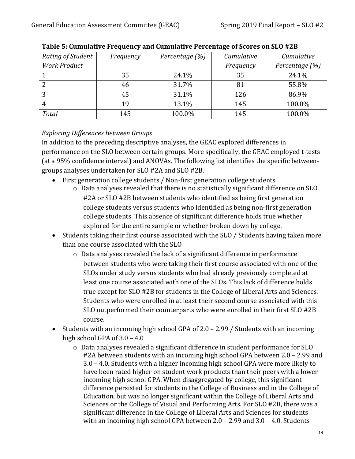| Rating of Student   | Frequency | Percentage (%) | Cumulative | Cumulative     |
|---------------------|-----------|----------------|------------|----------------|
| <b>Work Product</b> |           |                | Frequency  | Percentage (%) |
|                     | 35        | 24.1%          | 35         | 24.1%          |
|                     | 46        | 31.7%          | 81         | 55.8%          |
| Э                   | 45        | 31.1%          | 126        | 86.9%          |
| 4                   | 19        | 13.1%          | 145        | 100.0%         |
| <b>Total</b>        | 145       | 100.0%         | 145        | 100.0%         |

**Table 5: Cumulative Frequency and Cumulative Percentage of Scores on SLO #2B**

# *Exploring Differences Between Groups*

In addition to the preceding descriptive analyses, the GEAC explored differences in performance on the SLO between certain groups. More specifically, the GEAC employed t-tests (at a 95% confidence interval) and ANOVAs. The following list identifies the specific between groups analyses undertaken for SLO #2A and SLO #2B.

- First generation college students / Non-first generation college students
	- o Data analyses revealed that there is no statistically significant difference on SLO #2A or SLO #2B between students who identified as being first generation college students versus students who identified as being non-first generation college students. This absence of significant difference holds true whether explored for the entire sample or whether broken down by college.
- Students taking their first course associated with the SLO / Students having taken more than one course associated with the SLO
	- o Data analyses revealed the lack of a significant difference in performance between students who were taking their first course associated with one of the SLOs under study versus students who had already previously completed at least one course associated with one of the SLOs. This lack of difference holds true except for SLO #2B for students in the College of Liberal Arts and Sciences. Students who were enrolled in at least their second course associated with this SLO outperformed their counterparts who were enrolled in their first SLO #2B course.
- Students with an incoming high school GPA of 2.0 2.99 / Students with an incoming high school GPA of  $3.0 - 4.0$ 
	- o Data analyses revealed a significant difference in student performance for SLO #2A between students with an incoming high school GPA between 2.0 – 2.99 and 3.0 – 4.0. Students with a higher incoming high school GPA were more likely to have been rated higher on student work products than their peers with a lower incoming high school GPA. When disaggregated by college, this significant difference persisted for students in the College of Business and in the College of Education, but was no longer significant within the College of Liberal Arts and Sciences or the College of Visual and Performing Arts. For SLO #2B, there was a significant difference in the College of Liberal Arts and Sciences for students with an incoming high school GPA between 2.0 – 2.99 and 3.0 – 4.0. Students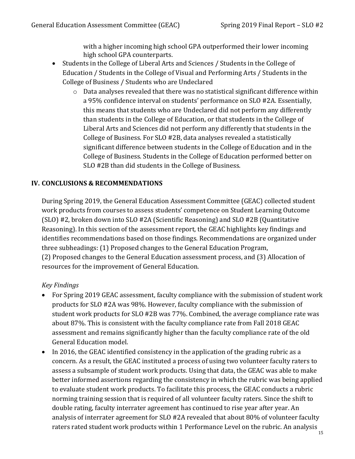with a higher incoming high school GPA outperformed their lower incoming high school GPA counterparts.

- Students in the College of Liberal Arts and Sciences / Students in the College of Education / Students in the College of Visual and Performing Arts / Students in the College of Business / Students who are Undeclared
	- o Data analyses revealed that there was no statistical significant difference within a 95% confidence interval on students' performance on SLO #2A. Essentially, this means that students who are Undeclared did not perform any differently than students in the College of Education, or that students in the College of Liberal Arts and Sciences did not perform any differently that students in the College of Business. For SLO #2B, data analyses revealed a statistically significant difference between students in the College of Education and in the College of Business. Students in the College of Education performed better on SLO #2B than did students in the College of Business.

# **IV. CONCLUSIONS & RECOMMENDATIONS**

During Spring 2019, the General Education Assessment Committee (GEAC) collected student work products from courses to assess students' competence on Student Learning Outcome (SLO) #2, broken down into SLO #2A (Scientific Reasoning) and SLO #2B (Quantitative Reasoning). In this section of the assessment report, the GEAC highlights key findings and identifies recommendations based on those findings. Recommendations are organized under three subheadings: (1) Proposed changes to the General Education Program, (2) Proposed changes to the General Education assessment process, and (3) Allocation of resources for the improvement of General Education.

#### *Key Findings*

- For Spring 2019 GEAC assessment, faculty compliance with the submission of student work products for SLO #2A was 98%. However, faculty compliance with the submission of student work products for SLO #2B was 77%. Combined, the average compliance rate was about 87%. This is consistent with the faculty compliance rate from Fall 2018 GEAC assessment and remains significantly higher than the faculty compliance rate of the old General Education model.
- In 2016, the GEAC identified consistency in the application of the grading rubric as a concern. As a result, the GEAC instituted a process of using two volunteer faculty raters to assess a subsample of student work products. Using that data, the GEAC was able to make better informed assertions regarding the consistency in which the rubric was being applied to evaluate student work products. To facilitate this process, the GEAC conducts a rubric norming training session that is required of all volunteer faculty raters. Since the shift to double rating, faculty interrater agreement has continued to rise year after year. An analysis of interrater agreement for SLO #2A revealed that about 80% of volunteer faculty raters rated student work products within 1 Performance Level on the rubric. An analysis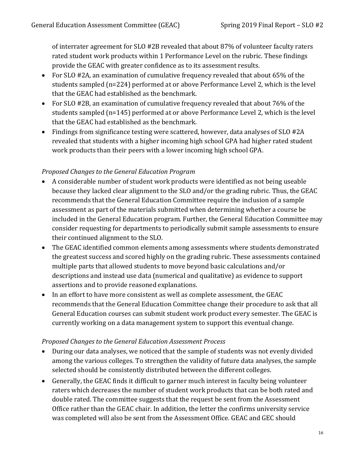of interrater agreement for SLO #2B revealed that about 87% of volunteer faculty raters rated student work products within 1 Performance Level on the rubric. These findings provide the GEAC with greater confidence as to its assessment results.

- For SLO #2A, an examination of cumulative frequency revealed that about 65% of the students sampled (n=224) performed at or above Performance Level 2, which is the level that the GEAC had established as the benchmark.
- For SLO #2B, an examination of cumulative frequency revealed that about 76% of the students sampled (n=145) performed at or above Performance Level 2, which is the level that the GEAC had established as the benchmark.
- Findings from significance testing were scattered, however, data analyses of SLO #2A revealed that students with a higher incoming high school GPA had higher rated student work products than their peers with a lower incoming high school GPA.

# *Proposed Changes to the General Education Program*

- A considerable number of student work products were identified as not being useable because they lacked clear alignment to the SLO and/or the grading rubric. Thus, the GEAC recommends that the General Education Committee require the inclusion of a sample assessment as part of the materials submitted when determining whether a course be included in the General Education program. Further, the General Education Committee may consider requesting for departments to periodically submit sample assessments to ensure their continued alignment to the SLO.
- The GEAC identified common elements among assessments where students demonstrated the greatest success and scored highly on the grading rubric. These assessments contained multiple parts that allowed students to move beyond basic calculations and/or descriptions and instead use data (numerical and qualitative) as evidence to support assertions and to provide reasoned explanations.
- In an effort to have more consistent as well as complete assessment, the GEAC recommends that the General Education Committee change their procedure to ask that all General Education courses can submit student work product every semester. The GEAC is currently working on a data management system to support this eventual change.

#### *Proposed Changes to the General Education Assessment Process*

- During our data analyses, we noticed that the sample of students was not evenly divided among the various colleges. To strengthen the validity of future data analyses, the sample selected should be consistently distributed between the different colleges.
- Generally, the GEAC finds it difficult to garner much interest in faculty being volunteer raters which decreases the number of student work products that can be both rated and double rated. The committee suggests that the request be sent from the Assessment Office rather than the GEAC chair. In addition, the letter the confirms university service was completed will also be sent from the Assessment Office. GEAC and GEC should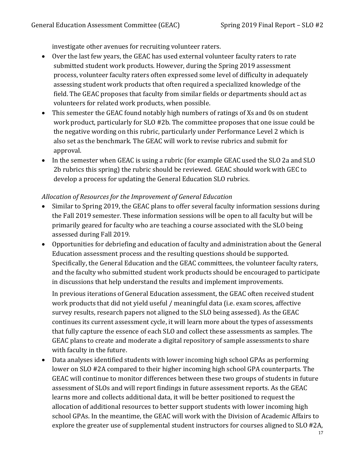investigate other avenues for recruiting volunteer raters.

- Over the last few years, the GEAC has used external volunteer faculty raters to rate submitted student work products. However, during the Spring 2019 assessment process, volunteer faculty raters often expressed some level of difficulty in adequately assessing student work products that often required a specialized knowledge of the field. The GEAC proposes that faculty from similar fields or departments should act as volunteers for related work products, when possible.
- This semester the GEAC found notably high numbers of ratings of Xs and 0s on student work product, particularly for SLO #2b. The committee proposes that one issue could be the negative wording on this rubric, particularly under Performance Level 2 which is also set as the benchmark. The GEAC will work to revise rubrics and submit for approval.
- In the semester when GEAC is using a rubric (for example GEAC used the SLO 2a and SLO 2b rubrics this spring) the rubric should be reviewed. GEAC should work with GEC to develop a process for updating the General Education SLO rubrics.

# *Allocation of Resources for the Improvement of General Education*

- Similar to Spring 2019, the GEAC plans to offer several faculty information sessions during the Fall 2019 semester. These information sessions will be open to all faculty but will be primarily geared for faculty who are teaching a course associated with the SLO being assessed during Fall 2019.
- Opportunities for debriefing and education of faculty and administration about the General Education assessment process and the resulting questions should be supported. Specifically, the General Education and the GEAC committees, the volunteer faculty raters, and the faculty who submitted student work products should be encouraged to participate in discussions that help understand the results and implement improvements.

In previous iterations of General Education assessment, the GEAC often received student work products that did not yield useful / meaningful data (i.e. exam scores, affective survey results, research papers not aligned to the SLO being assessed). As the GEAC continues its current assessment cycle, it will learn more about the types of assessments that fully capture the essence of each SLO and collect these assessments as samples. The GEAC plans to create and moderate a digital repository of sample assessments to share with faculty in the future.

• Data analyses identified students with lower incoming high school GPAs as performing lower on SLO #2A compared to their higher incoming high school GPA counterparts. The GEAC will continue to monitor differences between these two groups of students in future assessment of SLOs and will report findings in future assessment reports. As the GEAC learns more and collects additional data, it will be better positioned to request the allocation of additional resources to better support students with lower incoming high school GPAs. In the meantime, the GEAC will work with the Division of Academic Affairs to explore the greater use of supplemental student instructors for courses aligned to SLO #2A,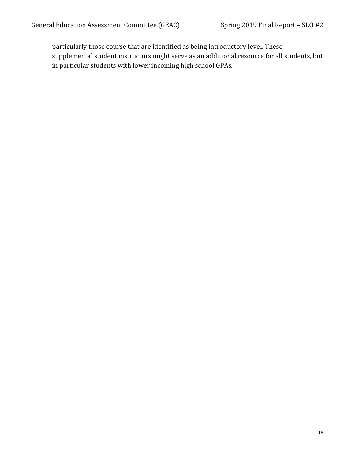particularly those course that are identified as being introductory level. These supplemental student instructors might serve as an additional resource for all students, but in particular students with lower incoming high school GPAs.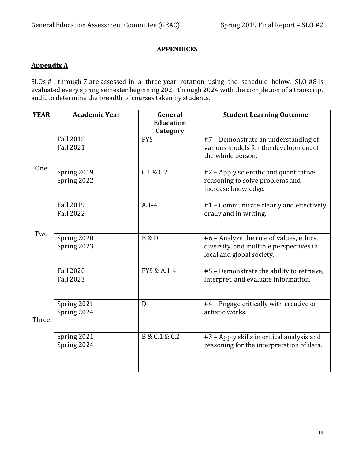# **APPENDICES**

# <span id="page-18-0"></span>**Appendix A**

SLOs #1 through 7 are assessed in a three-year rotation using the schedule below. SLO #8 is evaluated every spring semester beginning 2021 through 2024 with the completion of a transcript audit to determine the breadth of courses taken by students.

| <b>YEAR</b> | <b>Academic Year</b>                 | General                | <b>Student Learning Outcome</b>                                                                                  |
|-------------|--------------------------------------|------------------------|------------------------------------------------------------------------------------------------------------------|
|             |                                      | <b>Education</b>       |                                                                                                                  |
|             | <b>Fall 2018</b><br><b>Fall 2021</b> | Category<br><b>FYS</b> | #7 - Demonstrate an understanding of<br>various models for the development of<br>the whole person.               |
| One         | Spring 2019<br>Spring 2022           | C.1 & C.2              | #2 - Apply scientific and quantitative<br>reasoning to solve problems and<br>increase knowledge.                 |
|             | <b>Fall 2019</b><br><b>Fall 2022</b> | $A.1 - 4$              | #1 - Communicate clearly and effectively<br>orally and in writing.                                               |
| Two         | Spring 2020<br>Spring 2023           | <b>B</b> & D           | #6 - Analyze the role of values, ethics,<br>diversity, and multiple perspectives in<br>local and global society. |
|             | <b>Fall 2020</b><br><b>Fall 2023</b> | FYS & A.1-4            | #5 - Demonstrate the ability to retrieve,<br>interpret, and evaluate information.                                |
| Three       | Spring 2021<br>Spring 2024           | D                      | #4 - Engage critically with creative or<br>artistic works.                                                       |
|             | Spring 2021<br>Spring 2024           | B & C.1 & C.2          | #3 - Apply skills in critical analysis and<br>reasoning for the interpretation of data.                          |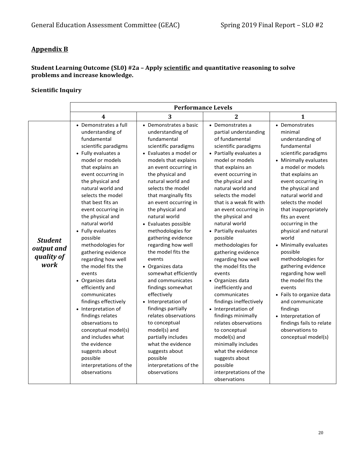# **Appendix B**

#### **Student Learning Outcome (SL0) #2a – Apply scientific and quantitative reasoning to solve problems and increase knowledge.**

#### **Scientific Inquiry**

|                                                    | <b>Performance Levels</b>                                                                                                                                                                                                                                                                                                                                                                                                                                                                                                                                                                                                                                                                                                             |                                                                                                                                                                                                                                                                                                                                                                                                                                                                                                                                                                                                                                                                                                                                                                        |                                                                                                                                                                                                                                                                                                                                                                                                                                                                                                                                                                                                                                                                                                                                                                                      |                                                                                                                                                                                                                                                                                                                                                                                                                                                                                                                                                                                                                                        |  |
|----------------------------------------------------|---------------------------------------------------------------------------------------------------------------------------------------------------------------------------------------------------------------------------------------------------------------------------------------------------------------------------------------------------------------------------------------------------------------------------------------------------------------------------------------------------------------------------------------------------------------------------------------------------------------------------------------------------------------------------------------------------------------------------------------|------------------------------------------------------------------------------------------------------------------------------------------------------------------------------------------------------------------------------------------------------------------------------------------------------------------------------------------------------------------------------------------------------------------------------------------------------------------------------------------------------------------------------------------------------------------------------------------------------------------------------------------------------------------------------------------------------------------------------------------------------------------------|--------------------------------------------------------------------------------------------------------------------------------------------------------------------------------------------------------------------------------------------------------------------------------------------------------------------------------------------------------------------------------------------------------------------------------------------------------------------------------------------------------------------------------------------------------------------------------------------------------------------------------------------------------------------------------------------------------------------------------------------------------------------------------------|----------------------------------------------------------------------------------------------------------------------------------------------------------------------------------------------------------------------------------------------------------------------------------------------------------------------------------------------------------------------------------------------------------------------------------------------------------------------------------------------------------------------------------------------------------------------------------------------------------------------------------------|--|
|                                                    | $\overline{\mathbf{4}}$                                                                                                                                                                                                                                                                                                                                                                                                                                                                                                                                                                                                                                                                                                               | 3                                                                                                                                                                                                                                                                                                                                                                                                                                                                                                                                                                                                                                                                                                                                                                      | $\overline{2}$                                                                                                                                                                                                                                                                                                                                                                                                                                                                                                                                                                                                                                                                                                                                                                       | $\mathbf{1}$                                                                                                                                                                                                                                                                                                                                                                                                                                                                                                                                                                                                                           |  |
| <b>Student</b><br>output and<br>quality of<br>work | • Demonstrates a full<br>understanding of<br>fundamental<br>scientific paradigms<br>• Fully evaluates a<br>model or models<br>that explains an<br>event occurring in<br>the physical and<br>natural world and<br>selects the model<br>that best fits an<br>event occurring in<br>the physical and<br>natural world<br>• Fully evaluates<br>possible<br>methodologies for<br>gathering evidence<br>regarding how well<br>the model fits the<br>events<br>• Organizes data<br>efficiently and<br>communicates<br>findings effectively<br>• Interpretation of<br>findings relates<br>observations to<br>conceptual model(s)<br>and includes what<br>the evidence<br>suggests about<br>possible<br>interpretations of the<br>observations | • Demonstrates a basic<br>understanding of<br>fundamental<br>scientific paradigms<br>• Evaluates a model or<br>models that explains<br>an event occurring in<br>the physical and<br>natural world and<br>selects the model<br>that marginally fits<br>an event occurring in<br>the physical and<br>natural world<br>• Evaluates possible<br>methodologies for<br>gathering evidence<br>regarding how well<br>the model fits the<br>events<br>• Organizes data<br>somewhat efficiently<br>and communicates<br>findings somewhat<br>effectively<br>• Interpretation of<br>findings partially<br>relates observations<br>to conceptual<br>model(s) and<br>partially includes<br>what the evidence<br>suggests about<br>possible<br>interpretations of the<br>observations | • Demonstrates a<br>partial understanding<br>of fundamental<br>scientific paradigms<br>• Partially evaluates a<br>model or models<br>that explains an<br>event occurring in<br>the physical and<br>natural world and<br>selects the model<br>that is a weak fit with<br>an event occurring in<br>the physical and<br>natural world<br>• Partially evaluates<br>possible<br>methodologies for<br>gathering evidence<br>regarding how well<br>the model fits the<br>events<br>• Organizes data<br>inefficiently and<br>communicates<br>findings ineffectively<br>• Interpretation of<br>findings minimally<br>relates observations<br>to conceptual<br>model(s) and<br>minimally includes<br>what the evidence<br>suggests about<br>possible<br>interpretations of the<br>observations | • Demonstrates<br>minimal<br>understanding of<br>fundamental<br>scientific paradigms<br>• Minimally evaluates<br>a model or models<br>that explains an<br>event occurring in<br>the physical and<br>natural world and<br>selects the model<br>that inappropriately<br>fits an event<br>occurring in the<br>physical and natural<br>world<br>• Minimally evaluates<br>possible<br>methodologies for<br>gathering evidence<br>regarding how well<br>the model fits the<br>events<br>• Fails to organize data<br>and communicate<br>findings<br>• Interpretation of<br>findings fails to relate<br>observations to<br>conceptual model(s) |  |